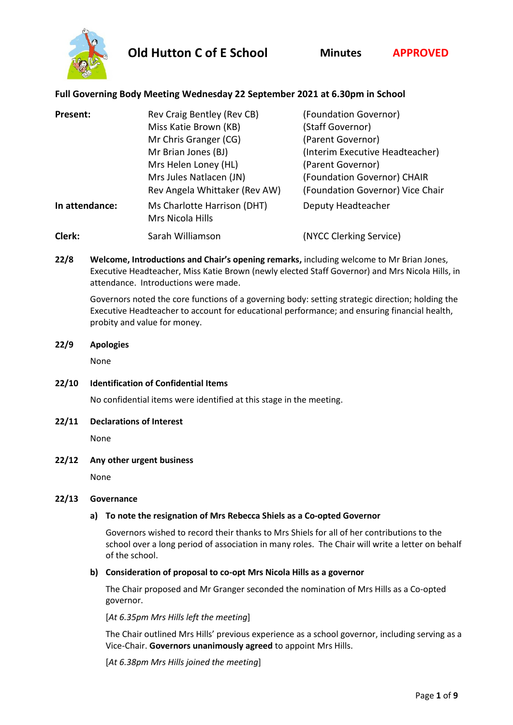

# **Full Governing Body Meeting Wednesday 22 September 2021 at 6.30pm in School**

| Present:       | Rev Craig Bentley (Rev CB)                      | (Foundation Governor)            |
|----------------|-------------------------------------------------|----------------------------------|
|                | Miss Katie Brown (KB)                           | (Staff Governor)                 |
|                | Mr Chris Granger (CG)                           | (Parent Governor)                |
|                | Mr Brian Jones (BJ)                             | (Interim Executive Headteacher)  |
|                | Mrs Helen Loney (HL)                            | (Parent Governor)                |
|                | Mrs Jules Natlacen (JN)                         | (Foundation Governor) CHAIR      |
|                | Rev Angela Whittaker (Rev AW)                   | (Foundation Governor) Vice Chair |
| In attendance: | Ms Charlotte Harrison (DHT)<br>Mrs Nicola Hills | Deputy Headteacher               |
| Clerk:         | Sarah Williamson                                | (NYCC Clerking Service)          |

**22/8 Welcome, Introductions and Chair's opening remarks,** including welcome to Mr Brian Jones, Executive Headteacher, Miss Katie Brown (newly elected Staff Governor) and Mrs Nicola Hills, in attendance. Introductions were made.

Governors noted the core functions of a governing body: setting strategic direction; holding the Executive Headteacher to account for educational performance; and ensuring financial health, probity and value for money.

# **22/9 Apologies**

None

**22/10 Identification of Confidential Items**

No confidential items were identified at this stage in the meeting.

#### **22/11 Declarations of Interest**

None

#### **22/12 Any other urgent business**

None

#### **22/13 Governance**

# **a) To note the resignation of Mrs Rebecca Shiels as a Co-opted Governor**

Governors wished to record their thanks to Mrs Shiels for all of her contributions to the school over a long period of association in many roles. The Chair will write a letter on behalf of the school.

#### **b) Consideration of proposal to co-opt Mrs Nicola Hills as a governor**

The Chair proposed and Mr Granger seconded the nomination of Mrs Hills as a Co-opted governor.

[*At 6.35pm Mrs Hills left the meeting*]

The Chair outlined Mrs Hills' previous experience as a school governor, including serving as a Vice-Chair. **Governors unanimously agreed** to appoint Mrs Hills.

[*At 6.38pm Mrs Hills joined the meeting*]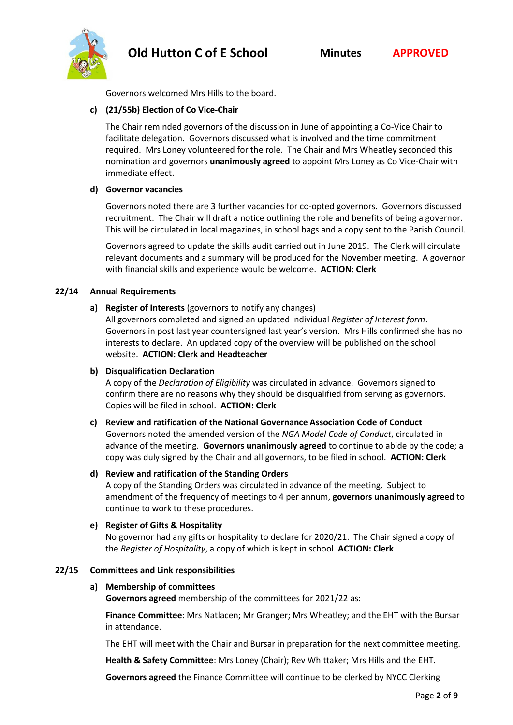

Governors welcomed Mrs Hills to the board.

# **c) (21/55b) Election of Co Vice-Chair**

The Chair reminded governors of the discussion in June of appointing a Co-Vice Chair to facilitate delegation. Governors discussed what is involved and the time commitment required. Mrs Loney volunteered for the role. The Chair and Mrs Wheatley seconded this nomination and governors **unanimously agreed** to appoint Mrs Loney as Co Vice-Chair with immediate effect.

#### **d) Governor vacancies**

Governors noted there are 3 further vacancies for co-opted governors. Governors discussed recruitment. The Chair will draft a notice outlining the role and benefits of being a governor. This will be circulated in local magazines, in school bags and a copy sent to the Parish Council.

Governors agreed to update the skills audit carried out in June 2019. The Clerk will circulate relevant documents and a summary will be produced for the November meeting. A governor with financial skills and experience would be welcome. **ACTION: Clerk**

# **22/14 Annual Requirements**

**a) Register of Interests** (governors to notify any changes)

All governors completed and signed an updated individual *Register of Interest form*. Governors in post last year countersigned last year's version. Mrs Hills confirmed she has no interests to declare. An updated copy of the overview will be published on the school website. **ACTION: Clerk and Headteacher**

#### **b) Disqualification Declaration**

A copy of the *Declaration of Eligibility* was circulated in advance. Governors signed to confirm there are no reasons why they should be disqualified from serving as governors. Copies will be filed in school. **ACTION: Clerk**

#### **c) Review and ratification of the National Governance Association Code of Conduct**

Governors noted the amended version of the *NGA Model Code of Conduct*, circulated in advance of the meeting. **Governors unanimously agreed** to continue to abide by the code; a copy was duly signed by the Chair and all governors, to be filed in school. **ACTION: Clerk**

#### **d) Review and ratification of the Standing Orders**

A copy of the Standing Orders was circulated in advance of the meeting. Subject to amendment of the frequency of meetings to 4 per annum, **governors unanimously agreed** to continue to work to these procedures.

#### **e) Register of Gifts & Hospitality**

No governor had any gifts or hospitality to declare for 2020/21. The Chair signed a copy of the *Register of Hospitality*, a copy of which is kept in school. **ACTION: Clerk**

#### **22/15 Committees and Link responsibilities**

#### **a) Membership of committees**

**Governors agreed** membership of the committees for 2021/22 as:

**Finance Committee**: Mrs Natlacen; Mr Granger; Mrs Wheatley; and the EHT with the Bursar in attendance.

The EHT will meet with the Chair and Bursar in preparation for the next committee meeting.

**Health & Safety Committee**: Mrs Loney (Chair); Rev Whittaker; Mrs Hills and the EHT.

**Governors agreed** the Finance Committee will continue to be clerked by NYCC Clerking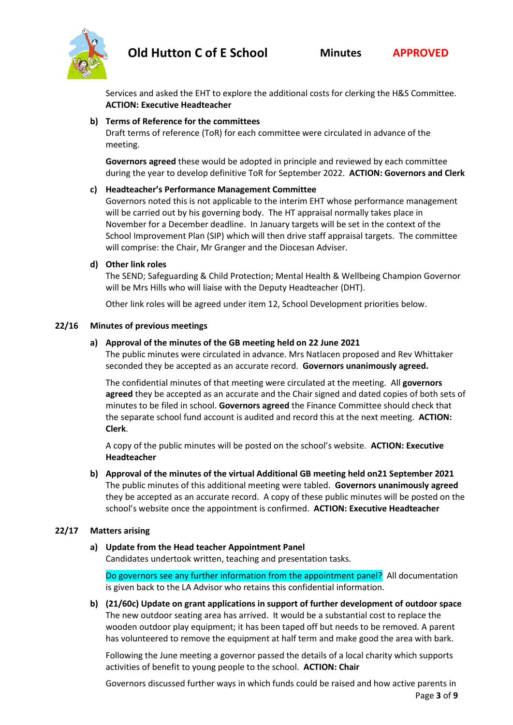

Services and asked the EHT to explore the additional costs for clerking the H&S Committee. **ACTION: Executive Headteacher**

# **b) Terms of Reference for the committees**

Draft terms of reference (ToR) for each committee were circulated in advance of the meeting.

**Governors agreed** these would be adopted in principle and reviewed by each committee during the year to develop definitive ToR for September 2022. **ACTION: Governors and Clerk**

# **c) Headteacher's Performance Management Committee**

Governors noted this is not applicable to the interim EHT whose performance management will be carried out by his governing body. The HT appraisal normally takes place in November for a December deadline. In January targets will be set in the context of the School Improvement Plan (SIP) which will then drive staff appraisal targets. The committee will comprise: the Chair, Mr Granger and the Diocesan Adviser.

#### **d) Other link roles**

The SEND; Safeguarding & Child Protection; Mental Health & Wellbeing Champion Governor will be Mrs Hills who will liaise with the Deputy Headteacher (DHT).

Other link roles will be agreed under item 12, School Development priorities below.

# **22/16 Minutes of previous meetings**

# **a) Approval of the minutes of the GB meeting held on 22 June 2021**

The public minutes were circulated in advance. Mrs Natlacen proposed and Rev Whittaker seconded they be accepted as an accurate record. **Governors unanimously agreed.**

The confidential minutes of that meeting were circulated at the meeting. All **governors agreed** they be accepted as an accurate and the Chair signed and dated copies of both sets of minutes to be filed in school. **Governors agreed** the Finance Committee should check that the separate school fund account is audited and record this at the next meeting. **ACTION: Clerk**.

A copy of the public minutes will be posted on the school's website. **ACTION: Executive Headteacher**

**b) Approval of the minutes of the virtual Additional GB meeting held on21 September 2021** The public minutes of this additional meeting were tabled. **Governors unanimously agreed** they be accepted as an accurate record. A copy of these public minutes will be posted on the school's website once the appointment is confirmed. **ACTION: Executive Headteacher**

#### **22/17 Matters arising**

**a) Update from the Head teacher Appointment Panel** Candidates undertook written, teaching and presentation tasks.

Do governors see any further information from the appointment panel? All documentation is given back to the LA Advisor who retains this confidential information.

**b) (21/60c) Update on grant applications in support of further development of outdoor space** The new outdoor seating area has arrived. It would be a substantial cost to replace the wooden outdoor play equipment; it has been taped off but needs to be removed. A parent has volunteered to remove the equipment at half term and make good the area with bark.

Following the June meeting a governor passed the details of a local charity which supports activities of benefit to young people to the school. **ACTION: Chair**

Page **3** of **9** Governors discussed further ways in which funds could be raised and how active parents in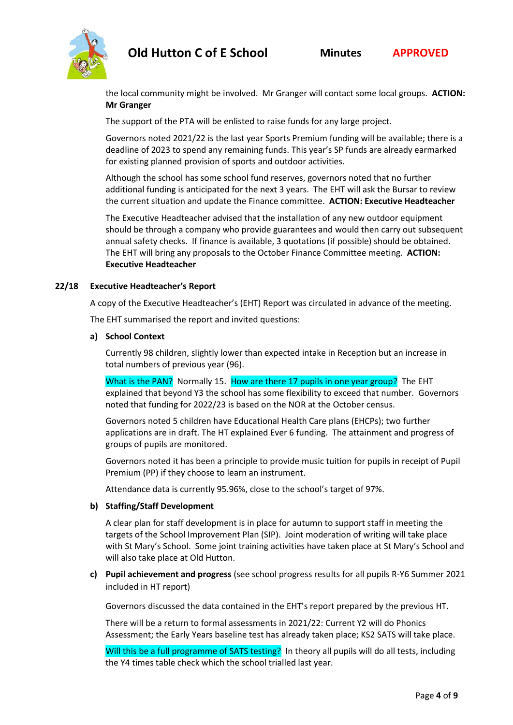

the local community might be involved. Mr Granger will contact some local groups. **ACTION: Mr Granger**

The support of the PTA will be enlisted to raise funds for any large project.

Governors noted 2021/22 is the last year Sports Premium funding will be available; there is a deadline of 2023 to spend any remaining funds. This year's SP funds are already earmarked for existing planned provision of sports and outdoor activities.

Although the school has some school fund reserves, governors noted that no further additional funding is anticipated for the next 3 years. The EHT will ask the Bursar to review the current situation and update the Finance committee. **ACTION: Executive Headteacher**

The Executive Headteacher advised that the installation of any new outdoor equipment should be through a company who provide guarantees and would then carry out subsequent annual safety checks. If finance is available, 3 quotations (if possible) should be obtained. The EHT will bring any proposals to the October Finance Committee meeting. **ACTION: Executive Headteacher**

# **22/18 Executive Headteacher's Report**

A copy of the Executive Headteacher's (EHT) Report was circulated in advance of the meeting.

The EHT summarised the report and invited questions:

#### **a) School Context**

Currently 98 children, slightly lower than expected intake in Reception but an increase in total numbers of previous year (96).

What is the PAN? Normally 15. How are there 17 pupils in one year group? The EHT explained that beyond Y3 the school has some flexibility to exceed that number. Governors noted that funding for 2022/23 is based on the NOR at the October census.

Governors noted 5 children have Educational Health Care plans (EHCPs); two further applications are in draft. The HT explained Ever 6 funding. The attainment and progress of groups of pupils are monitored.

Governors noted it has been a principle to provide music tuition for pupils in receipt of Pupil Premium (PP) if they choose to learn an instrument.

Attendance data is currently 95.96%, close to the school's target of 97%.

#### **b) Staffing/Staff Development**

A clear plan for staff development is in place for autumn to support staff in meeting the targets of the School Improvement Plan (SIP). Joint moderation of writing will take place with St Mary's School. Some joint training activities have taken place at St Mary's School and will also take place at Old Hutton.

**c) Pupil achievement and progress** (see school progress results for all pupils R-Y6 Summer 2021 included in HT report)

Governors discussed the data contained in the EHT's report prepared by the previous HT.

There will be a return to formal assessments in 2021/22: Current Y2 will do Phonics Assessment; the Early Years baseline test has already taken place; KS2 SATS will take place.

Will this be a full programme of SATS testing? In theory all pupils will do all tests, including the Y4 times table check which the school trialled last year.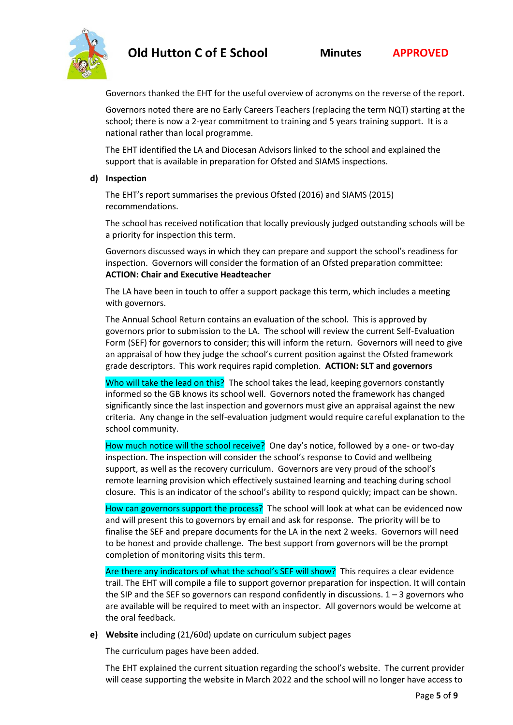

Governors thanked the EHT for the useful overview of acronyms on the reverse of the report.

Governors noted there are no Early Careers Teachers (replacing the term NQT) starting at the school; there is now a 2-year commitment to training and 5 years training support. It is a national rather than local programme.

The EHT identified the LA and Diocesan Advisors linked to the school and explained the support that is available in preparation for Ofsted and SIAMS inspections.

#### **d) Inspection**

The EHT's report summarises the previous Ofsted (2016) and SIAMS (2015) recommendations.

The school has received notification that locally previously judged outstanding schools will be a priority for inspection this term.

Governors discussed ways in which they can prepare and support the school's readiness for inspection. Governors will consider the formation of an Ofsted preparation committee: **ACTION: Chair and Executive Headteacher**

The LA have been in touch to offer a support package this term, which includes a meeting with governors.

The Annual School Return contains an evaluation of the school. This is approved by governors prior to submission to the LA. The school will review the current Self-Evaluation Form (SEF) for governors to consider; this will inform the return. Governors will need to give an appraisal of how they judge the school's current position against the Ofsted framework grade descriptors. This work requires rapid completion. **ACTION: SLT and governors**

Who will take the lead on this? The school takes the lead, keeping governors constantly informed so the GB knows its school well. Governors noted the framework has changed significantly since the last inspection and governors must give an appraisal against the new criteria. Any change in the self-evaluation judgment would require careful explanation to the school community.

How much notice will the school receive? One day's notice, followed by a one- or two-day inspection. The inspection will consider the school's response to Covid and wellbeing support, as well as the recovery curriculum. Governors are very proud of the school's remote learning provision which effectively sustained learning and teaching during school closure. This is an indicator of the school's ability to respond quickly; impact can be shown.

How can governors support the process? The school will look at what can be evidenced now and will present this to governors by email and ask for response. The priority will be to finalise the SEF and prepare documents for the LA in the next 2 weeks. Governors will need to be honest and provide challenge. The best support from governors will be the prompt completion of monitoring visits this term.

Are there any indicators of what the school's SEF will show? This requires a clear evidence trail. The EHT will compile a file to support governor preparation for inspection. It will contain the SIP and the SEF so governors can respond confidently in discussions.  $1 - 3$  governors who are available will be required to meet with an inspector. All governors would be welcome at the oral feedback.

**e) Website** including (21/60d) update on curriculum subject pages

The curriculum pages have been added.

The EHT explained the current situation regarding the school's website. The current provider will cease supporting the website in March 2022 and the school will no longer have access to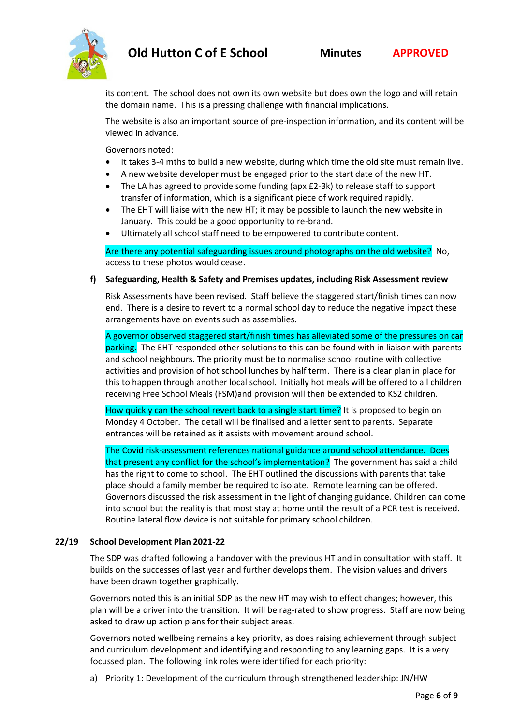

its content. The school does not own its own website but does own the logo and will retain the domain name. This is a pressing challenge with financial implications.

The website is also an important source of pre-inspection information, and its content will be viewed in advance.

Governors noted:

- It takes 3-4 mths to build a new website, during which time the old site must remain live.
- A new website developer must be engaged prior to the start date of the new HT.
- The LA has agreed to provide some funding (apx £2-3k) to release staff to support transfer of information, which is a significant piece of work required rapidly.
- The EHT will liaise with the new HT; it may be possible to launch the new website in January. This could be a good opportunity to re-brand.
- Ultimately all school staff need to be empowered to contribute content.

Are there any potential safeguarding issues around photographs on the old website? No, access to these photos would cease.

#### **f) Safeguarding, Health & Safety and Premises updates, including Risk Assessment review**

Risk Assessments have been revised. Staff believe the staggered start/finish times can now end. There is a desire to revert to a normal school day to reduce the negative impact these arrangements have on events such as assemblies.

A governor observed staggered start/finish times has alleviated some of the pressures on car parking. The EHT responded other solutions to this can be found with in liaison with parents and school neighbours. The priority must be to normalise school routine with collective activities and provision of hot school lunches by half term. There is a clear plan in place for this to happen through another local school. Initially hot meals will be offered to all children receiving Free School Meals (FSM)and provision will then be extended to KS2 children.

How quickly can the school revert back to a single start time? It is proposed to begin on Monday 4 October. The detail will be finalised and a letter sent to parents. Separate entrances will be retained as it assists with movement around school.

The Covid risk-assessment references national guidance around school attendance. Does that present any conflict for the school's implementation? The government has said a child has the right to come to school. The EHT outlined the discussions with parents that take place should a family member be required to isolate. Remote learning can be offered. Governors discussed the risk assessment in the light of changing guidance. Children can come into school but the reality is that most stay at home until the result of a PCR test is received. Routine lateral flow device is not suitable for primary school children.

#### **22/19 School Development Plan 2021-22**

The SDP was drafted following a handover with the previous HT and in consultation with staff. It builds on the successes of last year and further develops them. The vision values and drivers have been drawn together graphically.

Governors noted this is an initial SDP as the new HT may wish to effect changes; however, this plan will be a driver into the transition. It will be rag-rated to show progress. Staff are now being asked to draw up action plans for their subject areas.

Governors noted wellbeing remains a key priority, as does raising achievement through subject and curriculum development and identifying and responding to any learning gaps. It is a very focussed plan. The following link roles were identified for each priority:

a) Priority 1: Development of the curriculum through strengthened leadership: JN/HW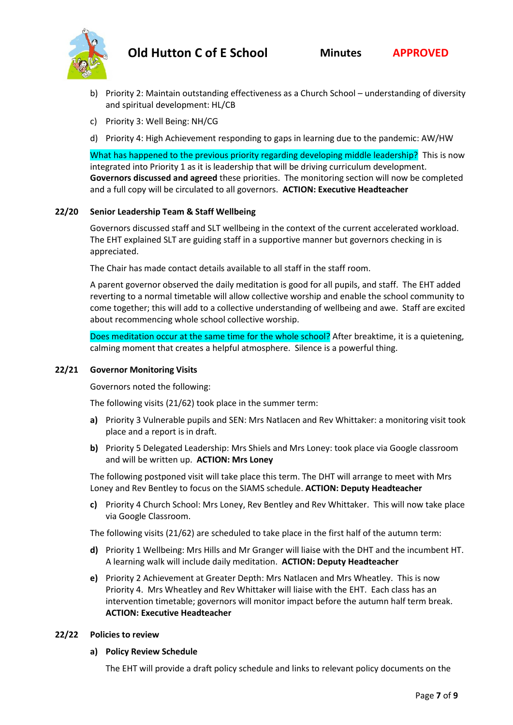

- b) Priority 2: Maintain outstanding effectiveness as a Church School understanding of diversity and spiritual development: HL/CB
- c) Priority 3: Well Being: NH/CG
- d) Priority 4: High Achievement responding to gaps in learning due to the pandemic: AW/HW

What has happened to the previous priority regarding developing middle leadership? This is now integrated into Priority 1 as it is leadership that will be driving curriculum development. **Governors discussed and agreed** these priorities. The monitoring section will now be completed and a full copy will be circulated to all governors. **ACTION: Executive Headteacher**

#### **22/20 Senior Leadership Team & Staff Wellbeing**

Governors discussed staff and SLT wellbeing in the context of the current accelerated workload. The EHT explained SLT are guiding staff in a supportive manner but governors checking in is appreciated.

The Chair has made contact details available to all staff in the staff room.

A parent governor observed the daily meditation is good for all pupils, and staff. The EHT added reverting to a normal timetable will allow collective worship and enable the school community to come together; this will add to a collective understanding of wellbeing and awe. Staff are excited about recommencing whole school collective worship.

Does meditation occur at the same time for the whole school? After breaktime, it is a quietening, calming moment that creates a helpful atmosphere. Silence is a powerful thing.

#### **22/21 Governor Monitoring Visits**

Governors noted the following:

The following visits (21/62) took place in the summer term:

- **a)** Priority 3 Vulnerable pupils and SEN: Mrs Natlacen and Rev Whittaker: a monitoring visit took place and a report is in draft.
- **b)** Priority 5 Delegated Leadership: Mrs Shiels and Mrs Loney: took place via Google classroom and will be written up. **ACTION: Mrs Loney**

The following postponed visit will take place this term. The DHT will arrange to meet with Mrs Loney and Rev Bentley to focus on the SIAMS schedule. **ACTION: Deputy Headteacher**

**c)** Priority 4 Church School: Mrs Loney, Rev Bentley and Rev Whittaker. This will now take place via Google Classroom.

The following visits (21/62) are scheduled to take place in the first half of the autumn term:

- **d)** Priority 1 Wellbeing: Mrs Hills and Mr Granger will liaise with the DHT and the incumbent HT. A learning walk will include daily meditation. **ACTION: Deputy Headteacher**
- **e)** Priority 2 Achievement at Greater Depth: Mrs Natlacen and Mrs Wheatley. This is now Priority 4. Mrs Wheatley and Rev Whittaker will liaise with the EHT. Each class has an intervention timetable; governors will monitor impact before the autumn half term break. **ACTION: Executive Headteacher**

#### **22/22 Policies to review**

#### **a) Policy Review Schedule**

The EHT will provide a draft policy schedule and links to relevant policy documents on the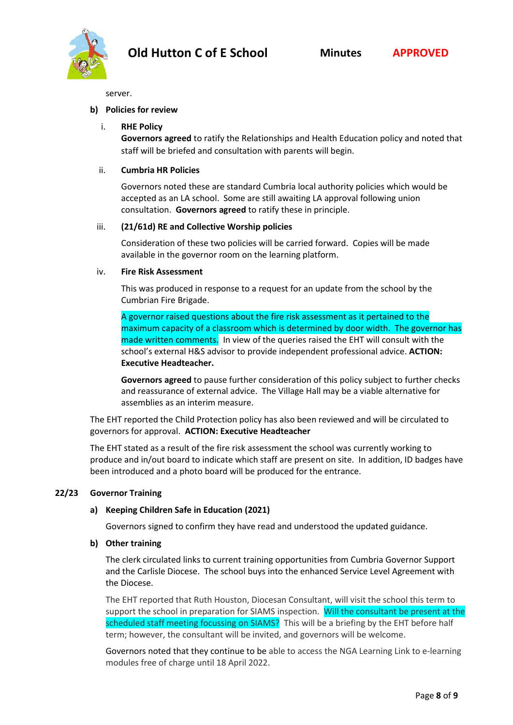server.

#### **b) Policies for review**

#### i. **RHE Policy**

**Governors agreed** to ratify the Relationships and Health Education policy and noted that staff will be briefed and consultation with parents will begin.

#### ii. **Cumbria HR Policies**

Governors noted these are standard Cumbria local authority policies which would be accepted as an LA school. Some are still awaiting LA approval following union consultation. **Governors agreed** to ratify these in principle.

#### iii. **(21/61d) RE and Collective Worship policies**

Consideration of these two policies will be carried forward. Copies will be made available in the governor room on the learning platform.

#### iv. **Fire Risk Assessment**

This was produced in response to a request for an update from the school by the Cumbrian Fire Brigade.

A governor raised questions about the fire risk assessment as it pertained to the maximum capacity of a classroom which is determined by door width. The governor has made written comments. In view of the queries raised the EHT will consult with the school's external H&S advisor to provide independent professional advice. **ACTION: Executive Headteacher.**

**Governors agreed** to pause further consideration of this policy subject to further checks and reassurance of external advice. The Village Hall may be a viable alternative for assemblies as an interim measure.

The EHT reported the Child Protection policy has also been reviewed and will be circulated to governors for approval. **ACTION: Executive Headteacher**

The EHT stated as a result of the fire risk assessment the school was currently working to produce and in/out board to indicate which staff are present on site. In addition, ID badges have been introduced and a photo board will be produced for the entrance.

#### **22/23 Governor Training**

#### **a) Keeping Children Safe in Education (2021)**

Governors signed to confirm they have read and understood the updated guidance.

#### **b) Other training**

The clerk circulated links to current training opportunities from Cumbria Governor Support and the Carlisle Diocese. The school buys into the enhanced Service Level Agreement with the Diocese.

The EHT reported that Ruth Houston, Diocesan Consultant, will visit the school this term to support the school in preparation for SIAMS inspection. Will the consultant be present at the scheduled staff meeting focussing on SIAMS? This will be a briefing by the EHT before half term; however, the consultant will be invited, and governors will be welcome.

Governors noted that they continue to be able to access the NGA Learning Link to e-learning modules free of charge until 18 April 2022.